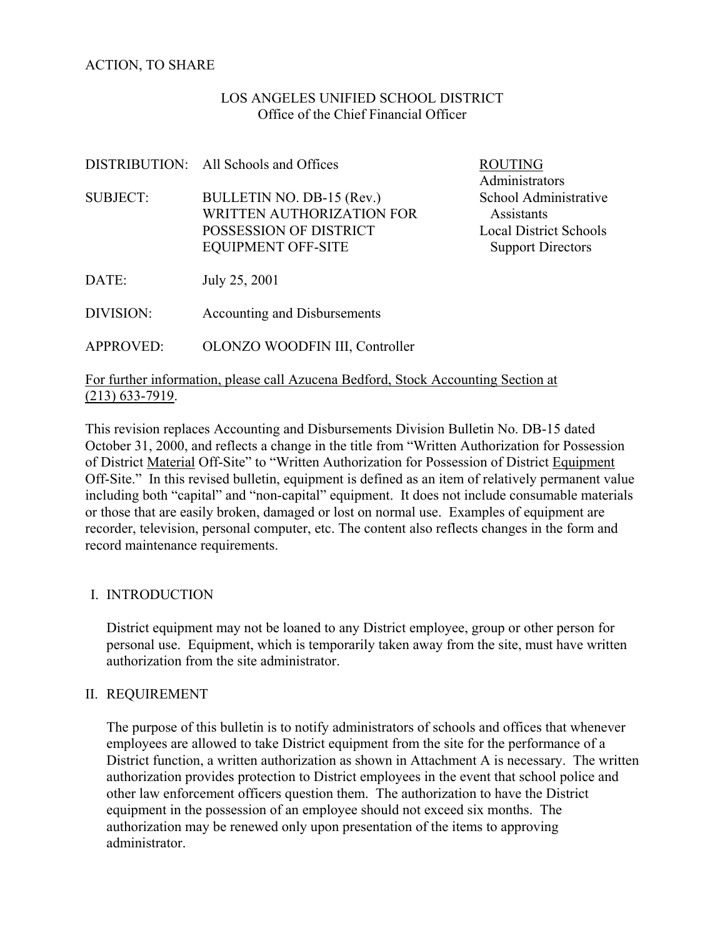# ACTION, TO SHARE

### LOS ANGELES UNIFIED SCHOOL DISTRICT Office of the Chief Financial Officer

|                  | DISTRIBUTION: All Schools and Offices                                                                         | <b>ROUTING</b><br>Administrators                                                                 |
|------------------|---------------------------------------------------------------------------------------------------------------|--------------------------------------------------------------------------------------------------|
| <b>SUBJECT:</b>  | BULLETIN NO. DB-15 (Rev.)<br>WRITTEN AUTHORIZATION FOR<br>POSSESSION OF DISTRICT<br><b>EQUIPMENT OFF-SITE</b> | School Administrative<br>Assistants<br><b>Local District Schools</b><br><b>Support Directors</b> |
| DATE:            | July 25, 2001                                                                                                 |                                                                                                  |
| DIVISION:        | Accounting and Disbursements                                                                                  |                                                                                                  |
| <b>APPROVED:</b> | OLONZO WOODFIN III, Controller                                                                                |                                                                                                  |

### For further information, please call Azucena Bedford, Stock Accounting Section at (213) 633-7919.

This revision replaces Accounting and Disbursements Division Bulletin No. DB-15 dated October 31, 2000, and reflects a change in the title from "Written Authorization for Possession of District Material Off-Site" to "Written Authorization for Possession of District Equipment Off-Site." In this revised bulletin, equipment is defined as an item of relatively permanent value including both "capital" and "non-capital" equipment. It does not include consumable materials or those that are easily broken, damaged or lost on normal use. Examples of equipment are recorder, television, personal computer, etc. The content also reflects changes in the form and record maintenance requirements.

### I. INTRODUCTION

 District equipment may not be loaned to any District employee, group or other person for personal use. Equipment, which is temporarily taken away from the site, must have written authorization from the site administrator.

### II. REQUIREMENT

The purpose of this bulletin is to notify administrators of schools and offices that whenever employees are allowed to take District equipment from the site for the performance of a District function, a written authorization as shown in Attachment A is necessary. The written authorization provides protection to District employees in the event that school police and other law enforcement officers question them. The authorization to have the District equipment in the possession of an employee should not exceed six months. The authorization may be renewed only upon presentation of the items to approving administrator.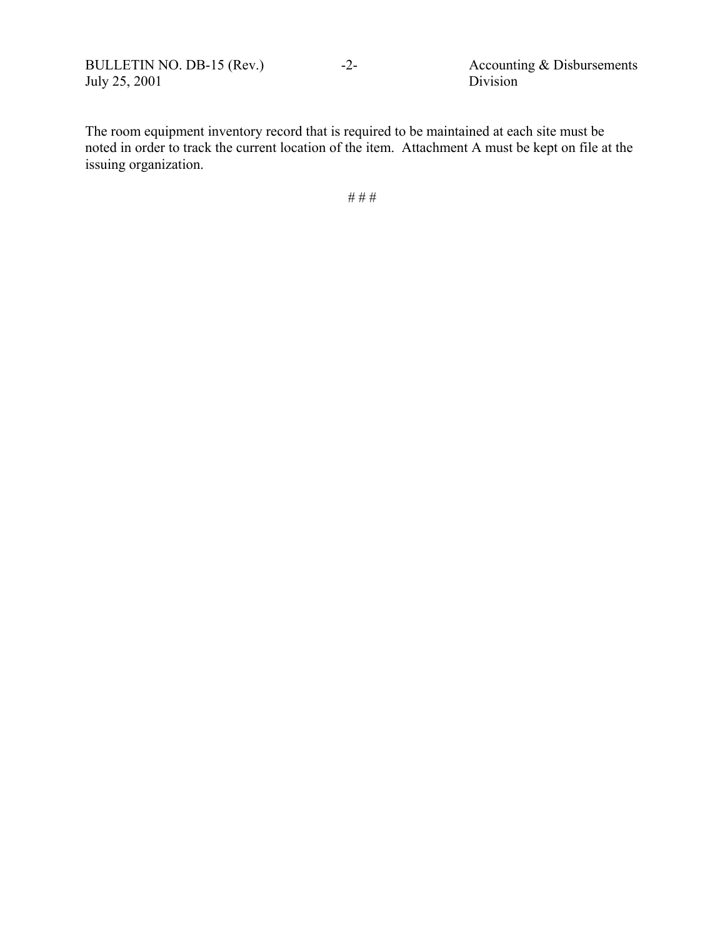BULLETIN NO. DB-15 (Rev.) -2- Accounting & Disbursements<br>July 25, 2001 Division July 25, 2001

The room equipment inventory record that is required to be maintained at each site must be noted in order to track the current location of the item. Attachment A must be kept on file at the issuing organization.

# # #